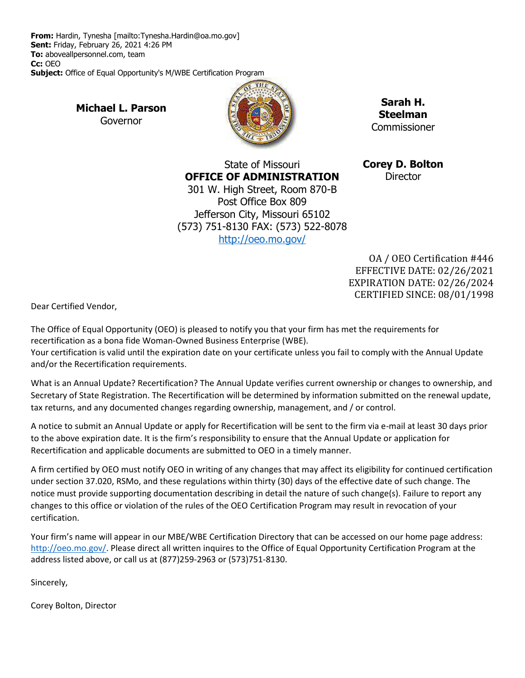**From:** Hardin, Tynesha [mailto:Tynesha.Hardin@oa.mo.gov] **Sent:** Friday, February 26, 2021 4:26 PM **To:** aboveallpersonnel.com, team **Cc:** OEO **Subject:** Office of Equal Opportunity's M/WBE Certification Program

> **Michael L. Parson** Governor



**Sarah H. Steelman** Commissioner

State of Missouri **OFFICE OF ADMINISTRATION** 301 W. High Street, Room 870-B Post Office Box 809 Jefferson City, Missouri 65102 (573) 751-8130 FAX: (573) 522-8078 <http://oeo.mo.gov/>

**Corey D. Bolton Director** 

OA / OEO Certification #446 EFFECTIVE DATE: 02/26/2021 EXPIRATION DATE: 02/26/2024 CERTIFIED SINCE: 08/01/1998

Dear Certified Vendor,

The Office of Equal Opportunity (OEO) is pleased to notify you that your firm has met the requirements for recertification as a bona fide Woman-Owned Business Enterprise (WBE).

Your certification is valid until the expiration date on your certificate unless you fail to comply with the Annual Update and/or the Recertification requirements.

What is an Annual Update? Recertification? The Annual Update verifies current ownership or changes to ownership, and Secretary of State Registration. The Recertification will be determined by information submitted on the renewal update, tax returns, and any documented changes regarding ownership, management, and / or control.

A notice to submit an Annual Update or apply for Recertification will be sent to the firm via e-mail at least 30 days prior to the above expiration date. It is the firm's responsibility to ensure that the Annual Update or application for Recertification and applicable documents are submitted to OEO in a timely manner.

A firm certified by OEO must notify OEO in writing of any changes that may affect its eligibility for continued certification under section 37.020, RSMo, and these regulations within thirty (30) days of the effective date of such change. The notice must provide supporting documentation describing in detail the nature of such change(s). Failure to report any changes to this office or violation of the rules of the OEO Certification Program may result in revocation of your certification.

Your firm's name will appear in our MBE/WBE Certification Directory that can be accessed on our home page address: [http://oeo.mo.gov/.](http://oeo.mo.gov/) Please direct all written inquires to the Office of Equal Opportunity Certification Program at the address listed above, or call us at (877)259-2963 or (573)751-8130.

Sincerely,

Corey Bolton, Director